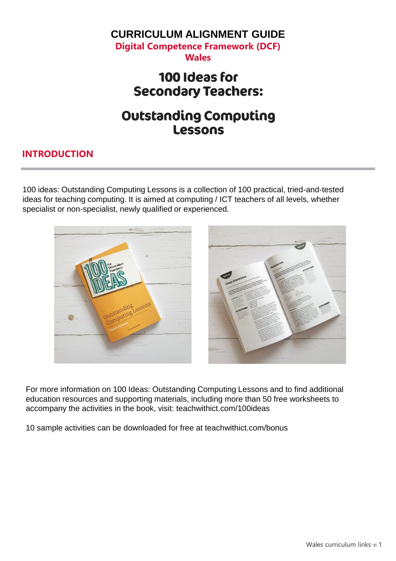#### **CURRICULUM ALIGNMENT GUIDE Digital Competence Framework (DCF)**

**Wales**

### 100 Ideas for **Secondary Teachers:**

## **Outstanding Computing Lessons**

#### **INTRODUCTION**

100 ideas: Outstanding Computing Lessons is a collection of 100 practical, tried-and-tested ideas for teaching computing. It is aimed at computing / ICT teachers of all levels, whether specialist or non-specialist, newly qualified or experienced.



For more information on 100 Ideas: Outstanding Computing Lessons and to find additional education resources and supporting materials, including more than 50 free worksheets to accompany the activities in the book, visit: teachwithict.com/100ideas

10 sample activities can be downloaded for free at teachwithict.com/bonus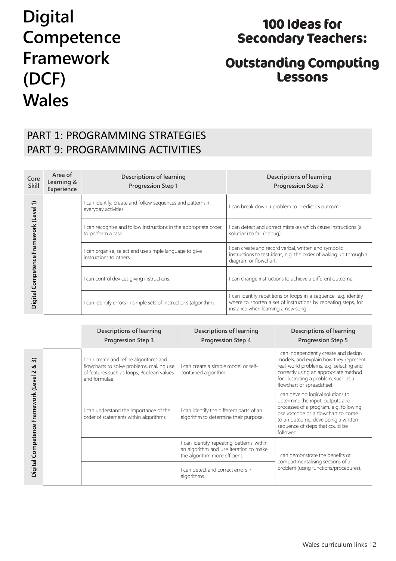## 100 Ideas for **Secondary Teachers:**

## **Outstanding Computing Lessons**

### PART 1: PROGRAMMING STRATEGIES PART 9: PROGRAMMING ACTIVITIES

| Core<br><b>Skill</b>                          | Area of<br>Learning &<br>Experience | Descriptions of learning<br><b>Progression Step 1</b>                                  | <b>Descriptions of learning</b><br><b>Progression Step 2</b>                                                                                                           |
|-----------------------------------------------|-------------------------------------|----------------------------------------------------------------------------------------|------------------------------------------------------------------------------------------------------------------------------------------------------------------------|
| ≘                                             |                                     | I can identify, create and follow sequences and patterns in<br>everyday activities.    | I can break down a problem to predict its outcome.                                                                                                                     |
| Framework (Level<br><b>Digital Competence</b> |                                     | I can recognise and follow instructions in the appropriate order<br>to perform a task. | I can detect and correct mistakes which cause instructions (a<br>solution) to fail (debug).                                                                            |
|                                               |                                     | I can organise, select and use simple language to give<br>instructions to others.      | I can create and record verbal, written and symbolic<br>instructions to test ideas, e.g. the order of waking up through a<br>diagram or flowchart.                     |
|                                               |                                     | I can control devices giving instructions.                                             | I can change instructions to achieve a different outcome.                                                                                                              |
|                                               |                                     | I can identify errors in simple sets of instructions (algorithm).                      | can identify repetitions or loops in a sequence, e.g. identify<br>where to shorten a set of instructions by repeating steps, for<br>instance when learning a new song. |

|                                                                          | <b>Descriptions of learning</b><br><b>Progression Step 3</b>                                                                                     | Descriptions of learning<br><b>Progression Step 4</b>                                                             | Descriptions of learning<br><b>Progression Step 5</b>                                                                                                                                                                                        |
|--------------------------------------------------------------------------|--------------------------------------------------------------------------------------------------------------------------------------------------|-------------------------------------------------------------------------------------------------------------------|----------------------------------------------------------------------------------------------------------------------------------------------------------------------------------------------------------------------------------------------|
| $\widehat{\infty}$<br>త<br>$\sim$<br>Digital Competence Framework (Level | I can create and refine algorithms and<br>flowcharts to solve problems, making use<br>of features such as loops, Boolean values<br>and formulae. | can create a simple model or self-<br>contained algorithm.                                                        | I can independently create and design<br>models, and explain how they represent<br>real-world problems, e.g. selecting and<br>correctly using an appropriate method<br>for illustrating a problem, such as a<br>flowchart or spreadsheet.    |
|                                                                          | I can understand the importance of the<br>order of statements within algorithms.                                                                 | can identify the different parts of an<br>algorithm to determine their purpose.                                   | I can develop logical solutions to<br>determine the input, outputs and<br>processes of a program, e.g. following<br>pseudocode or a flowchart to come<br>to an outcome, developing a written<br>sequence of steps that could be<br>followed. |
|                                                                          |                                                                                                                                                  | can identify repeating patterns within<br>an algorithm and use iteration to make<br>the algorithm more efficient. | can demonstrate the benefits of                                                                                                                                                                                                              |
|                                                                          |                                                                                                                                                  | can detect and correct errors in<br>algorithms.                                                                   | compartmentalising sections of a<br>problem (using functions/procedures).                                                                                                                                                                    |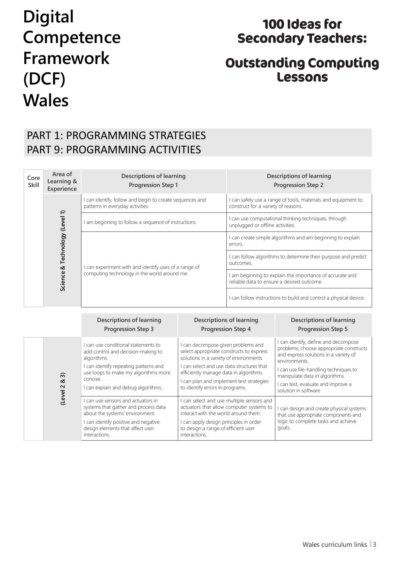## 100 Ideas for **Secondary Teachers:**

## **Outstanding Computing Lessons**

### PART 1: PROGRAMMING STRATEGIES PART 9: PROGRAMMING ACTIVITIES

| Core<br>Skill | Area of<br>Learning &<br>Experience | <b>Descriptions of learning</b><br><b>Progression Step 1</b>                                        | Descriptions of learning<br><b>Progression Step 2</b>                                                  |  |
|---------------|-------------------------------------|-----------------------------------------------------------------------------------------------------|--------------------------------------------------------------------------------------------------------|--|
|               | & Technology (Level 1)<br>Science   | can identify, follow and begin to create sequences and<br>patterns in everyday activities           | I can safely use a range of tools, materials and equipment to<br>construct for a variety of reasons.   |  |
|               |                                     | am beginning to follow a sequence of instructions.                                                  | I can use computational thinking techniques, through<br>unplugged or offline activities.               |  |
|               |                                     | can experiment with and identify uses of a range of<br>computing technology in the world around me. | I can create simple algorithms and am beginning to explain<br>errors.                                  |  |
|               |                                     |                                                                                                     | I can follow algorithms to determine their purpose and predict<br>outcomes.                            |  |
|               |                                     |                                                                                                     | I am beginning to explain the importance of accurate and<br>reliable data to ensure a desired outcome. |  |
|               |                                     |                                                                                                     | I can follow instructions to build and control a physical device.                                      |  |

|                                     | <b>Descriptions of learning</b><br><b>Progression Step 3</b>                                                                                                                                                                 | <b>Descriptions of learning</b><br><b>Progression Step 4</b>                                                                                                                                                                                                                                | <b>Descriptions of learning</b><br><b>Progression Step 5</b>                                                                                                                                                                                                                       |
|-------------------------------------|------------------------------------------------------------------------------------------------------------------------------------------------------------------------------------------------------------------------------|---------------------------------------------------------------------------------------------------------------------------------------------------------------------------------------------------------------------------------------------------------------------------------------------|------------------------------------------------------------------------------------------------------------------------------------------------------------------------------------------------------------------------------------------------------------------------------------|
| $\widehat{\infty}$<br>∞<br>(Level 2 | I can use conditional statements to<br>add control and decision-making to<br>algorithms.<br>I can identify repeating patterns and<br>use loops to make my algorithms more<br>concise.<br>I can explain and debug algorithms. | can decompose given problems and<br>select appropriate constructs to express<br>solutions in a variety of environments.<br>can select and use data structures that<br>efficiently manage data in algorithms.<br>I can plan and implement test strategies<br>to identify errors in programs. | I can identify, define and decompose<br>problems, choose appropriate constructs<br>and express solutions in a variety of<br>environments.<br>I can use file-handling techniques to<br>manipulate data in algorithms.<br>I can test, evaluate and improve a<br>solution in software |
|                                     | I can use sensors and actuators in<br>systems that gather and process data<br>about the systems' environment.<br>can identify positive and negative<br>design elements that affect user<br>interactions.                     | can select and use multiple sensors and<br>actuators that allow computer systems to<br>interact with the world around them.<br>can apply design principles in order<br>to design a range of efficient user<br>interactions.                                                                 | I can design and create physical systems<br>that use appropriate components and<br>logic to complete tasks and achieve<br>goals.                                                                                                                                                   |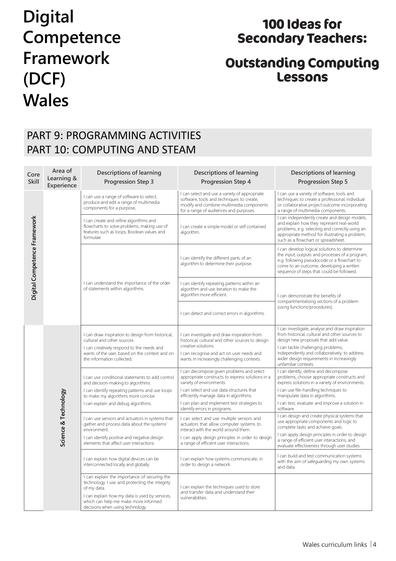## 100 Ideas for **Secondary Teachers:**

## **Outstanding Computing Lessons**

### PART 9: PROGRAMMING ACTIVITIES PART 10: COMPUTING AND STEAM

| Core<br><b>Skill</b>         | Area of<br>Learning &<br>Experience | <b>Descriptions of learning</b><br><b>Progression Step 3</b>                                                                                                   | <b>Descriptions of learning</b><br><b>Progression Step 4</b>                                                                                                                    | <b>Descriptions of learning</b><br><b>Progression Step 5</b>                                                                                                                                                                           |
|------------------------------|-------------------------------------|----------------------------------------------------------------------------------------------------------------------------------------------------------------|---------------------------------------------------------------------------------------------------------------------------------------------------------------------------------|----------------------------------------------------------------------------------------------------------------------------------------------------------------------------------------------------------------------------------------|
|                              |                                     | I can use a range of software to select,<br>produce and edit a range of multimedia<br>components for a purpose,                                                | I can select and use a variety of appropriate<br>software, tools and techniques to create,<br>modify and combine multimedia components<br>for a range of audiences and purposes | I can use a variety of software, tools and<br>techniques to create a professional, individual<br>or collaborative project outcome incorporating<br>a range of multimedia components.                                                   |
|                              |                                     | I can create and refine algorithms and<br>flowcharts to solve problems, making use of<br>features such as loops, Boolean values and<br>formulae.               | I can create a simple model or self contained<br>algorithm.                                                                                                                     | I can independently create and design models,<br>and explain how they represent real-world<br>problems, e.g. selecting and correctly using an<br>appropriate method for illustrating a problem,<br>such as a flowchart or spreadsheet. |
| Digital Competence Framework |                                     |                                                                                                                                                                | I can identify the different parts of an<br>algorithm to determine their purpose.                                                                                               | I can develop logical solutions to determine<br>the input, outputs and processes of a program,<br>e.g. following pseudocode or a flowchart to<br>come to an outcome, developing a written<br>sequence of steps that could be followed. |
|                              |                                     | I can understand the importance of the order<br>of statements within algorithms.                                                                               | I can identify repeating patterns within an<br>algorithm and use iteration to make the<br>algorithm more efficient.                                                             | I can demonstrate the benefits of<br>compartmentalising sections of a problem<br>(using functions/procedures).                                                                                                                         |
|                              |                                     |                                                                                                                                                                | I can detect and correct errors in algorithms.                                                                                                                                  |                                                                                                                                                                                                                                        |
|                              | Science & Technology                | I can draw inspiration to design from historical,<br>cultural and other sources.                                                                               | I can investigate and draw inspiration from<br>historical, cultural and other sources to design                                                                                 | I can investigate, analyse and draw inspiration<br>from historical, cultural and other sources to<br>design new proposals that add value.                                                                                              |
|                              |                                     | I can creatively respond to the needs and<br>wants of the user, based on the context and on<br>the information collected.                                      | creative solutions.<br>I can recognise and act on user needs and<br>wants in increasingly challenging contexts.                                                                 | I can tackle challenging problems,<br>independently and collaboratively, to address<br>wider design requirements in increasingly<br>unfamiliar contexts.                                                                               |
|                              |                                     | I can use conditional statements to add control<br>and decision-making to algorithms.                                                                          | I can decompose given problems and select<br>appropriate constructs to express solutions in a<br>variety of environments.                                                       | I can identify, define and decompose<br>problems, choose appropriate constructs and<br>express solutions in a variety of environments.                                                                                                 |
|                              |                                     | I can identify repeating patterns and use loops<br>to make my algorithms more concise.                                                                         | I can select and use data structures that<br>efficiently manage data in algorithms.                                                                                             | I can use file-handling techniques to<br>manipulate data in algorithms.                                                                                                                                                                |
|                              |                                     | I can explain and debug algorithms.                                                                                                                            | I can plan and implement test strategies to<br>identify errors in programs.                                                                                                     | I can test, evaluate and improve a solution in<br>software.                                                                                                                                                                            |
|                              |                                     | I can use sensors and actuators in systems that<br>gather and process data about the systems'<br>environment.                                                  | I can select and use multiple sensors and<br>actuators that allow computer systems to<br>interact with the world around them.                                                   | I can design and create physical systems that<br>use appropriate components and logic to<br>complete tasks and achieve goals.                                                                                                          |
|                              |                                     | I can identify positive and negative design<br>elements that affect user interactions.                                                                         | I can apply design principles in order to design<br>a range of efficient user interactions.                                                                                     | I can apply design principles in order to design<br>a range of efficient user interactions, and<br>evaluate effectiveness through user studies.                                                                                        |
|                              |                                     | I can explain how digital devices can be<br>interconnected locally and globally.                                                                               | I can explain how systems communicate, in<br>order to design a network.                                                                                                         | I can build and test communication systems<br>with the aim of safeguarding my own systems<br>and data.                                                                                                                                 |
|                              |                                     | I can explain the importance of securing the<br>technology I use and protecting the integrity<br>of my data.<br>I can explain how my data is used by services, | I can explain the techniques used to store<br>and transfer data and understand their                                                                                            |                                                                                                                                                                                                                                        |
|                              |                                     | which can help me make more informed<br>decisions when using technology.                                                                                       | vulnerabilities.                                                                                                                                                                |                                                                                                                                                                                                                                        |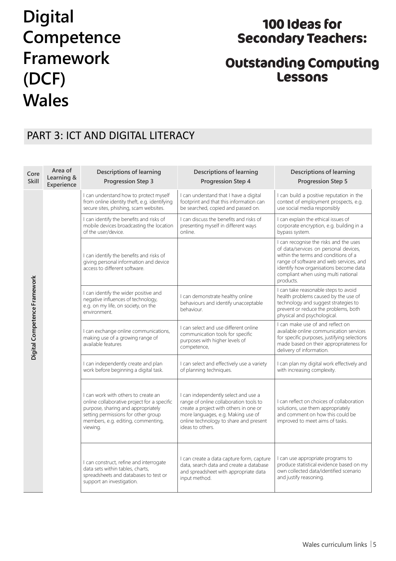## 100 Ideas for **Secondary Teachers:**

## **Outstanding Computing Lessons**

#### PART 3: ICT AND DIGITAL LITERACY

| Core<br>Skill                | Area of<br>Learning &<br>Experience | <b>Descriptions of learning</b><br><b>Progression Step 3</b>                                                                                                                                                      | <b>Descriptions of learning</b><br><b>Progression Step 4</b>                                                                                                                                                                 | <b>Descriptions of learning</b><br><b>Progression Step 5</b>                                                                                                                                                                                                     |
|------------------------------|-------------------------------------|-------------------------------------------------------------------------------------------------------------------------------------------------------------------------------------------------------------------|------------------------------------------------------------------------------------------------------------------------------------------------------------------------------------------------------------------------------|------------------------------------------------------------------------------------------------------------------------------------------------------------------------------------------------------------------------------------------------------------------|
| Digital Competence Framework |                                     | I can understand how to protect myself<br>from online identity theft, e.g. identifying<br>secure sites, phishing, scam websites.                                                                                  | I can understand that I have a digital<br>footprint and that this information can<br>be searched, copied and passed on.                                                                                                      | I can build a positive reputation in the<br>context of employment prospects, e.g.<br>use social media responsibly                                                                                                                                                |
|                              |                                     | I can identify the benefits and risks of<br>mobile devices broadcasting the location<br>of the user/device.                                                                                                       | I can discuss the benefits and risks of<br>presenting myself in different ways<br>online.                                                                                                                                    | I can explain the ethical issues of<br>corporate encryption, e.g. building in a<br>bypass system.                                                                                                                                                                |
|                              |                                     | I can identify the benefits and risks of<br>giving personal information and device<br>access to different software.                                                                                               |                                                                                                                                                                                                                              | I can recognise the risks and the uses<br>of data/services on personal devices,<br>within the terms and conditions of a<br>range of software and web services, and<br>identify how organisations become data<br>compliant when using multi national<br>products. |
|                              |                                     | I can identify the wider positive and<br>negative influences of technology,<br>e.g. on my life, on society, on the<br>environment.                                                                                | I can demonstrate healthy online<br>behaviours and identify unacceptable<br>behaviour.                                                                                                                                       | I can take reasonable steps to avoid<br>health problems caused by the use of<br>technology and suggest strategies to<br>prevent or reduce the problems, both<br>physical and psychological.                                                                      |
|                              |                                     | I can exchange online communications,<br>making use of a growing range of<br>available features                                                                                                                   | I can select and use different online<br>communication tools for specific<br>purposes with higher levels of<br>competence,                                                                                                   | I can make use of and reflect on<br>available online communication services<br>for specific purposes, justifying selections<br>made based on their appropriateness for<br>delivery of information.                                                               |
|                              |                                     | I can independently create and plan<br>work before beginning a digital task.                                                                                                                                      | I can select and effectively use a variety<br>of planning techniques.                                                                                                                                                        | I can plan my digital work effectively and<br>with increasing complexity.                                                                                                                                                                                        |
|                              |                                     | I can work with others to create an<br>online collaborative project for a specific<br>purpose, sharing and appropriately<br>setting permissions for other group<br>members, e.g. editing, commenting,<br>viewing. | I can independently select and use a<br>range of online collaboration tools to<br>create a project with others in one or<br>more languages, e.g. Making use of<br>online technology to share and present<br>ideas to others. | I can reflect on choices of collaboration<br>solutions, use them appropriately<br>and comment on how this could be<br>improved to meet aims of tasks.                                                                                                            |
|                              |                                     | I can construct, refine and interrogate<br>data sets within tables, charts,<br>spreadsheets and databases to test or<br>support an investigation.                                                                 | I can create a data capture form, capture<br>data, search data and create a database<br>and spreadsheet with appropriate data<br>input method.                                                                               | I can use appropriate programs to<br>produce statistical evidence based on my<br>own collected data/identified scenario<br>and justify reasoning.                                                                                                                |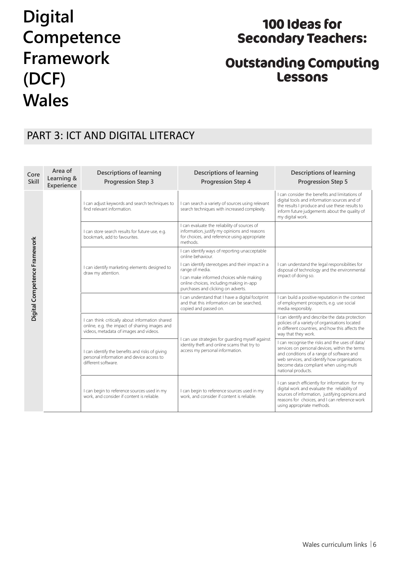## 100 Ideas for **Secondary Teachers:**

## **Outstanding Computing Lessons**

#### PART 3: ICT AND DIGITAL LITERACY

| Core<br>Skill                       | Area of<br>Learning &<br>Experience | <b>Descriptions of learning</b><br><b>Progression Step 3</b>                                                                               | <b>Descriptions of learning</b><br>Progression Step 4                                                                                                    | <b>Descriptions of learning</b><br><b>Progression Step 5</b>                                                                                                                                                                                                   |
|-------------------------------------|-------------------------------------|--------------------------------------------------------------------------------------------------------------------------------------------|----------------------------------------------------------------------------------------------------------------------------------------------------------|----------------------------------------------------------------------------------------------------------------------------------------------------------------------------------------------------------------------------------------------------------------|
|                                     |                                     | I can adjust keywords and search techniques to<br>find relevant information.                                                               | I can search a variety of sources using relevant<br>search techniques with increased complexity.                                                         | I can consider the benefits and limitations of<br>digital tools and information sources and of<br>the results I produce and use these results to<br>inform future judgements about the quality of<br>my digital work.                                          |
|                                     |                                     | I can store search results for future use, e.g.<br>bookmark, add to favourites.                                                            | I can evaluate the reliability of sources of<br>information, justify my opinions and reasons<br>for choices, and reference using appropriate<br>methods. |                                                                                                                                                                                                                                                                |
|                                     |                                     |                                                                                                                                            | I can identify ways of reporting unacceptable<br>online behaviour.                                                                                       |                                                                                                                                                                                                                                                                |
|                                     |                                     | I can identify marketing elements designed to<br>draw my attention.                                                                        | I can identify stereotypes and their impact in a<br>range of media.                                                                                      | I can understand the legal responsibilities for<br>disposal of technology and the environmental                                                                                                                                                                |
| <b>Digital Competence Framework</b> |                                     |                                                                                                                                            | I can make informed choices while making<br>online choices, including making in-app<br>purchases and clicking on adverts.                                | impact of doing so.                                                                                                                                                                                                                                            |
|                                     |                                     |                                                                                                                                            | I can understand that I have a digital footprint<br>and that this information can be searched,<br>copied and passed on.                                  | I can build a positive reputation in the context<br>of employment prospects, e.g. use social<br>media responsibly.                                                                                                                                             |
|                                     |                                     | I can think critically about information shared<br>online, e.g. the impact of sharing images and<br>videos, metadata of images and videos. |                                                                                                                                                          | I can identify and describe the data protection<br>policies of a variety of organisations located<br>in different countries, and how this affects the<br>way that they work.                                                                                   |
|                                     |                                     | I can identify the benefits and risks of giving<br>personal information and device access to<br>different software.                        | I can use strategies for guarding myself against<br>identity theft and online scams that try to<br>access my personal information.                       | I can recognise the risks and the uses of data/<br>services on personal devices, within the terms<br>and conditions of a range of software and<br>web services, and identify how organisations<br>become data compliant when using multi<br>national products. |
|                                     |                                     | I can begin to reference sources used in my<br>work, and consider if content is reliable.                                                  | I can begin to reference sources used in my<br>work, and consider if content is reliable.                                                                | I can search efficiently for information for my<br>digital work and evaluate the reliability of<br>sources of information, justifying opinions and<br>reasons for choices, and I can reference work<br>using appropriate methods.                              |